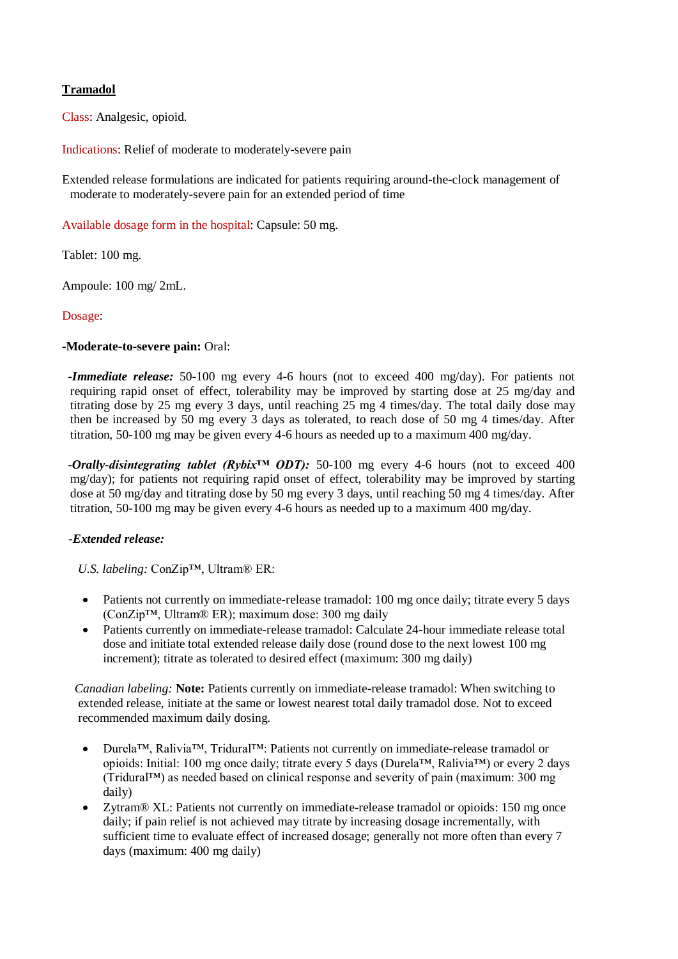# **Tramadol**

Class: Analgesic, opioid.

Indications: Relief of moderate to moderately-severe pain

Extended release formulations are indicated for patients requiring around-the-clock management of moderate to moderately-severe pain for an extended period of time

Available dosage form in the hospital: Capsule: 50 mg.

Tablet: 100 mg.

Ampoule: 100 mg/ 2mL.

Dosage:

#### **-Moderate-to-severe pain:** Oral:

 *-Immediate release:* 50-100 mg every 4-6 hours (not to exceed 400 mg/day). For patients not requiring rapid onset of effect, tolerability may be improved by starting dose at 25 mg/day and titrating dose by 25 mg every 3 days, until reaching 25 mg 4 times/day. The total daily dose may then be increased by 50 mg every 3 days as tolerated, to reach dose of 50 mg 4 times/day. After titration, 50-100 mg may be given every 4-6 hours as needed up to a maximum 400 mg/day.

 *-Orally-disintegrating tablet (Rybix™ ODT):* 50-100 mg every 4-6 hours (not to exceed 400 mg/day); for patients not requiring rapid onset of effect, tolerability may be improved by starting dose at 50 mg/day and titrating dose by 50 mg every 3 days, until reaching 50 mg 4 times/day. After titration, 50-100 mg may be given every 4-6 hours as needed up to a maximum 400 mg/day.

### *-Extended release:*

 *U.S. labeling:* ConZip™, Ultram® ER:

- Patients not currently on immediate-release tramadol: 100 mg once daily; titrate every 5 days (ConZip™, Ultram® ER); maximum dose: 300 mg daily
- Patients currently on immediate-release tramadol: Calculate 24-hour immediate release total dose and initiate total extended release daily dose (round dose to the next lowest 100 mg increment); titrate as tolerated to desired effect (maximum: 300 mg daily)

 *Canadian labeling:* **Note:** Patients currently on immediate-release tramadol: When switching to extended release, initiate at the same or lowest nearest total daily tramadol dose. Not to exceed recommended maximum daily dosing.

- Durela™, Ralivia™, Tridural™: Patients not currently on immediate-release tramadol or opioids: Initial: 100 mg once daily; titrate every 5 days (Durela™, Ralivia™) or every 2 days (Tridural™) as needed based on clinical response and severity of pain (maximum: 300 mg daily)
- Zytram® XL: Patients not currently on immediate-release tramadol or opioids: 150 mg once daily; if pain relief is not achieved may titrate by increasing dosage incrementally, with sufficient time to evaluate effect of increased dosage; generally not more often than every 7 days (maximum: 400 mg daily)